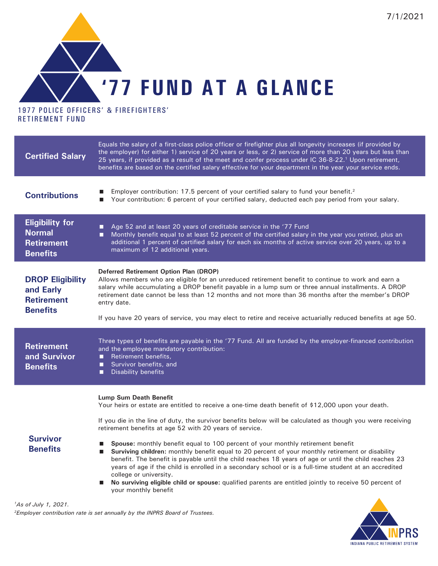

## 1977 POLICE OFFICERS' & FIREFIGHTERS' RETIREMENT FUND

| <b>Certified Salary</b>                                                         | Equals the salary of a first-class police officer or firefighter plus all longevity increases (if provided by<br>the employer) for either 1) service of 20 years or less, or 2) service of more than 20 years but less than<br>25 years, if provided as a result of the meet and confer process under IC 36-8-22. <sup>1</sup> Upon retirement,<br>benefits are based on the certified salary effective for your department in the year your service ends.                                                                                                                                                                                                                                                                                                                                                                                                                                                                                 |
|---------------------------------------------------------------------------------|--------------------------------------------------------------------------------------------------------------------------------------------------------------------------------------------------------------------------------------------------------------------------------------------------------------------------------------------------------------------------------------------------------------------------------------------------------------------------------------------------------------------------------------------------------------------------------------------------------------------------------------------------------------------------------------------------------------------------------------------------------------------------------------------------------------------------------------------------------------------------------------------------------------------------------------------|
| <b>Contributions</b>                                                            | Employer contribution: 17.5 percent of your certified salary to fund your benefit. <sup>2</sup><br>E<br>Your contribution: 6 percent of your certified salary, deducted each pay period from your salary.<br>п                                                                                                                                                                                                                                                                                                                                                                                                                                                                                                                                                                                                                                                                                                                             |
| <b>Eligibility for</b><br><b>Normal</b><br><b>Retirement</b><br><b>Benefits</b> | Age 52 and at least 20 years of creditable service in the '77 Fund<br>□<br>Monthly benefit equal to at least 52 percent of the certified salary in the year you retired, plus an<br>п<br>additional 1 percent of certified salary for each six months of active service over 20 years, up to a<br>maximum of 12 additional years.                                                                                                                                                                                                                                                                                                                                                                                                                                                                                                                                                                                                          |
| <b>DROP Eligibility</b><br>and Early<br><b>Retirement</b><br><b>Benefits</b>    | Deferred Retirement Option Plan (DROP)<br>Allows members who are eligible for an unreduced retirement benefit to continue to work and earn a<br>salary while accumulating a DROP benefit payable in a lump sum or three annual installments. A DROP<br>retirement date cannot be less than 12 months and not more than 36 months after the member's DROP<br>entry date.                                                                                                                                                                                                                                                                                                                                                                                                                                                                                                                                                                    |
|                                                                                 | If you have 20 years of service, you may elect to retire and receive actuarially reduced benefits at age 50.                                                                                                                                                                                                                                                                                                                                                                                                                                                                                                                                                                                                                                                                                                                                                                                                                               |
| <b>Retirement</b><br>and Survivor<br><b>Benefits</b>                            | Three types of benefits are payable in the '77 Fund. All are funded by the employer-financed contribution<br>and the employee mandatory contribution:<br>Retirement benefits,<br>П<br>Survivor benefits, and<br>П<br><b>Disability benefits</b><br>П                                                                                                                                                                                                                                                                                                                                                                                                                                                                                                                                                                                                                                                                                       |
| <b>Survivor</b><br><b>Benefits</b>                                              | <b>Lump Sum Death Benefit</b><br>Your heirs or estate are entitled to receive a one-time death benefit of \$12,000 upon your death.<br>If you die in the line of duty, the survivor benefits below will be calculated as though you were receiving<br>retirement benefits at age 52 with 20 years of service.<br>Spouse: monthly benefit equal to 100 percent of your monthly retirement benefit<br>$\blacksquare$<br>Surviving children: monthly benefit equal to 20 percent of your monthly retirement or disability<br><b>I</b><br>benefit. The benefit is payable until the child reaches 18 years of age or until the child reaches 23<br>years of age if the child is enrolled in a secondary school or is a full-time student at an accredited<br>college or university.<br>No surviving eligible child or spouse: qualified parents are entitled jointly to receive 50 percent of<br>П<br>your monthly benefit<br>$\blacktriangle$ |



*1As of July 1, 2021.*

*2Employer contribution rate is set annually by the INPRS Board of Trustees.*